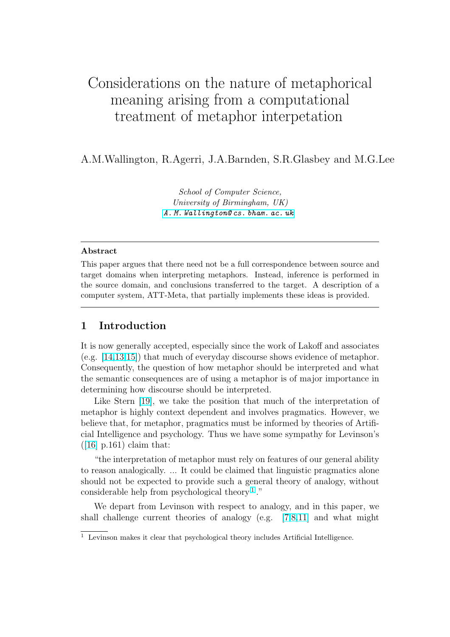# Considerations on the nature of metaphorical meaning arising from a computational treatment of metaphor interpetation

A.M.Wallington, R.Agerri, J.A.Barnden, S.R.Glasbey and M.G.Lee

School of Computer Science, University of Birmingham, UK) A. M. Wallington@ cs. bham. ac. uk

#### Abstract

This paper argues that there need not be a full correspondence between source and target domains when interpreting metaphors. Instead, inference is performed in the source domain, and conclusions transferred to the target. A description of a computer system, ATT-Meta, that partially implements these ideas is provided.

# 1 Introduction

It is now generally accepted, especially since the work of Lakoff and associates (e.g. [14,13,15]) that much of everyday discourse shows evidence of metaphor. Consequently, the question of how metaphor should be interpreted and what the semantic consequences are of using a metaphor is of major importance in deter[mining ho](#page-9-0)w discourse should be interpreted.

Like Stern [19], we take the position that much of the interpretation of metaphor is highly context dependent and involves pragmatics. However, we believe that, for metaphor, pragmatics must be informed by theories of Artificial Intelligence [an](#page-9-0)d psychology. Thus we have some sympathy for Levinson's  $([16] \text{ p.161})$  claim that:

"the interpretation of metaphor must rely on features of our general ability to reason analogically. ... It could be claimed that linguistic pragmatics alone s[hou](#page-9-0)ld not be expected to provide such a general theory of analogy, without considerable help from psychological theory  $1$ ."

We depart from Levinson with respect to analogy, and in this paper, we shall challenge current theories of analogy (e.g. [7,8,11] and what might

 $\overline{1}$  Levinson makes it clear that psychological theory includes Artificial Intelligence.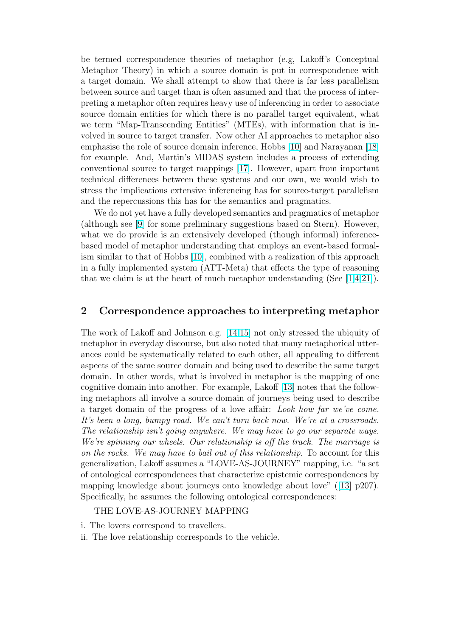be termed correspondence theories of metaphor (e.g, Lakoff's Conceptual Metaphor Theory) in which a source domain is put in correspondence with a target domain. We shall attempt to show that there is far less parallelism between source and target than is often assumed and that the process of interpreting a metaphor often requires heavy use of inferencing in order to associate source domain entities for which there is no parallel target equivalent, what we term "Map-Transcending Entities" (MTEs), with information that is involved in source to target transfer. Now other AI approaches to metaphor also emphasise the role of source domain inference, Hobbs [10] and Narayanan [18] for example. And, Martin's MIDAS system includes a process of extending conventional source to target mappings [17]. However, apart from important technical differences between these systems and our [own](#page-9-0), we would wis[h to](#page-9-0) stress the implications extensive inferencing has for source-target parallelism and the repercussions this has for the se[man](#page-9-0)tics and pragmatics.

We do not yet have a fully developed semantics and pragmatics of metaphor (although see [9] for some preliminary suggestions based on Stern). However, what we do provide is an extensively developed (though informal) inferencebased model of metaphor understanding that employs an event-based formalism similar to [th](#page-9-0)at of Hobbs [10], combined with a realization of this approach in a fully implemented system (ATT-Meta) that effects the type of reasoning that we claim is at the heart of much metaphor understanding (See  $[1,4,21]$ ).

## 2 Correspondence approaches to interpreting me[tap](#page-8-0)[ho](#page-9-0)r

The work of Lakoff and Johnson e.g. [14,15] not only stressed the ubiquity of metaphor in everyday discourse, but also noted that many metaphorical utterances could be systematically related to each other, all appealing to different aspects of the same source domain an[d being](#page-9-0) used to describe the same target domain. In other words, what is involved in metaphor is the mapping of one cognitive domain into another. For example, Lakoff [13] notes that the following metaphors all involve a source domain of journeys being used to describe a target domain of the progress of a love affair: Look how far we've come. It's been a long, bumpy road. We can't turn back no[w.](#page-9-0) We're at a crossroads. The relationship isn't going anywhere. We may have to go our separate ways. We're spinning our wheels. Our relationship is off the track. The marriage is on the rocks. We may have to bail out of this relationship. To account for this generalization, Lakoff assumes a "LOVE-AS-JOURNEY" mapping, i.e. "a set of ontological correspondences that characterize epistemic correspondences by mapping knowledge about journeys onto knowledge about love" ([13] p207). Specifically, he assumes the following ontological correspondences:

#### THE LOVE-AS-JOURNEY MAPPING

- i. The lovers correspond to travellers.
- ii. The love relationship corresponds to the vehicle.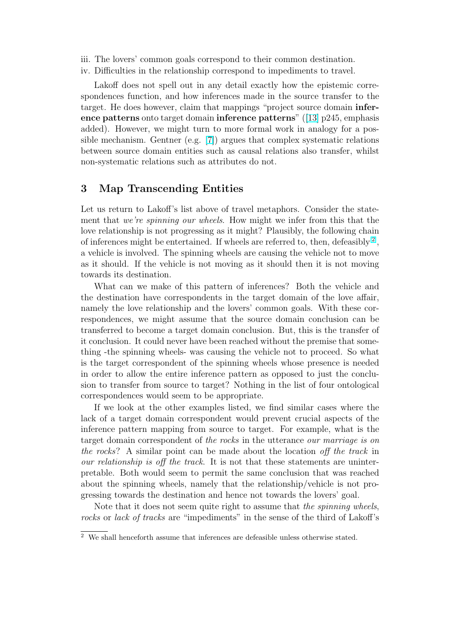- iii. The lovers' common goals correspond to their common destination.
- iv. Difficulties in the relationship correspond to impediments to travel.

Lakoff does not spell out in any detail exactly how the epistemic correspondences function, and how inferences made in the source transfer to the target. He does however, claim that mappings "project source domain inference patterns onto target domain inference patterns" ([13] p245, emphasis added). However, we might turn to more formal work in analogy for a possible mechanism. Gentner (e.g.  $[7]$ ) argues that complex systematic relations between source domain entities such as causal relations a[lso](#page-9-0) transfer, whilst non-systematic relations such as attributes do not.

#### 3 Map Transcending Entities

Let us return to Lakoff's list above of travel metaphors. Consider the statement that we're spinning our wheels. How might we infer from this that the love relationship is not progressing as it might? Plausibly, the following chain of inferences might be entertained. If wheels are referred to, then, defeasibly  $^2$ , a vehicle is involved. The spinning wheels are causing the vehicle not to move as it should. If the vehicle is not moving as it should then it is not moving towards its destination.

What can we make of this pattern of inferences? Both the vehicle and the destination have correspondents in the target domain of the love affair, namely the love relationship and the lovers' common goals. With these correspondences, we might assume that the source domain conclusion can be transferred to become a target domain conclusion. But, this is the transfer of it conclusion. It could never have been reached without the premise that something -the spinning wheels- was causing the vehicle not to proceed. So what is the target correspondent of the spinning wheels whose presence is needed in order to allow the entire inference pattern as opposed to just the conclusion to transfer from source to target? Nothing in the list of four ontological correspondences would seem to be appropriate.

If we look at the other examples listed, we find similar cases where the lack of a target domain correspondent would prevent crucial aspects of the inference pattern mapping from source to target. For example, what is the target domain correspondent of the rocks in the utterance our marriage is on the rocks? A similar point can be made about the location off the track in our relationship is off the track. It is not that these statements are uninterpretable. Both would seem to permit the same conclusion that was reached about the spinning wheels, namely that the relationship/vehicle is not progressing towards the destination and hence not towards the lovers' goal.

Note that it does not seem quite right to assume that the *spinning wheels*, rocks or lack of tracks are "impediments" in the sense of the third of Lakoff's

 $\overline{2}$  We shall henceforth assume that inferences are defeasible unless otherwise stated.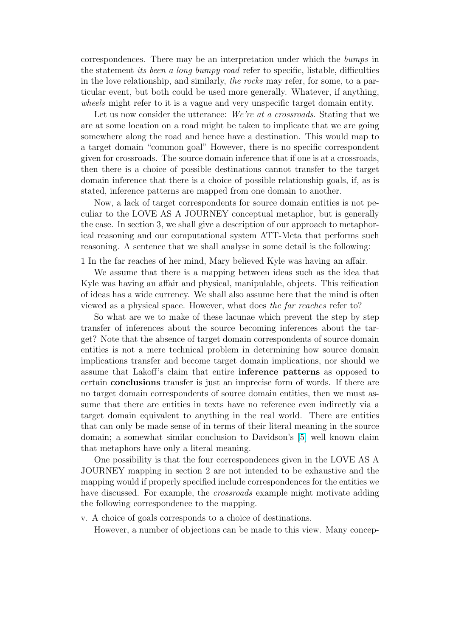correspondences. There may be an interpretation under which the bumps in the statement its been a long bumpy road refer to specific, listable, difficulties in the love relationship, and similarly, the rocks may refer, for some, to a particular event, but both could be used more generally. Whatever, if anything, wheels might refer to it is a vague and very unspecific target domain entity.

Let us now consider the utterance: We're at a crossroads. Stating that we are at some location on a road might be taken to implicate that we are going somewhere along the road and hence have a destination. This would map to a target domain "common goal" However, there is no specific correspondent given for crossroads. The source domain inference that if one is at a crossroads, then there is a choice of possible destinations cannot transfer to the target domain inference that there is a choice of possible relationship goals, if, as is stated, inference patterns are mapped from one domain to another.

Now, a lack of target correspondents for source domain entities is not peculiar to the LOVE AS A JOURNEY conceptual metaphor, but is generally the case. In section 3, we shall give a description of our approach to metaphorical reasoning and our computational system ATT-Meta that performs such reasoning. A sentence that we shall analyse in some detail is the following:

1 In the far reaches of her mind, Mary believed Kyle was having an affair.

We assume that there is a mapping between ideas such as the idea that Kyle was having an affair and physical, manipulable, objects. This reification of ideas has a wide currency. We shall also assume here that the mind is often viewed as a physical space. However, what does the far reaches refer to?

So what are we to make of these lacunae which prevent the step by step transfer of inferences about the source becoming inferences about the target? Note that the absence of target domain correspondents of source domain entities is not a mere technical problem in determining how source domain implications transfer and become target domain implications, nor should we assume that Lakoff's claim that entire inference patterns as opposed to certain conclusions transfer is just an imprecise form of words. If there are no target domain correspondents of source domain entities, then we must assume that there are entities in texts have no reference even indirectly via a target domain equivalent to anything in the real world. There are entities that can only be made sense of in terms of their literal meaning in the source domain; a somewhat similar conclusion to Davidson's [5] well known claim that metaphors have only a literal meaning.

One possibility is that the four correspondences given in the LOVE AS A JOURNEY mapping in section 2 are not intended to b[e e](#page-9-0)xhaustive and the mapping would if properly specified include correspondences for the entities we have discussed. For example, the *crossroads* example might motivate adding the following correspondence to the mapping.

v. A choice of goals corresponds to a choice of destinations.

However, a number of objections can be made to this view. Many concep-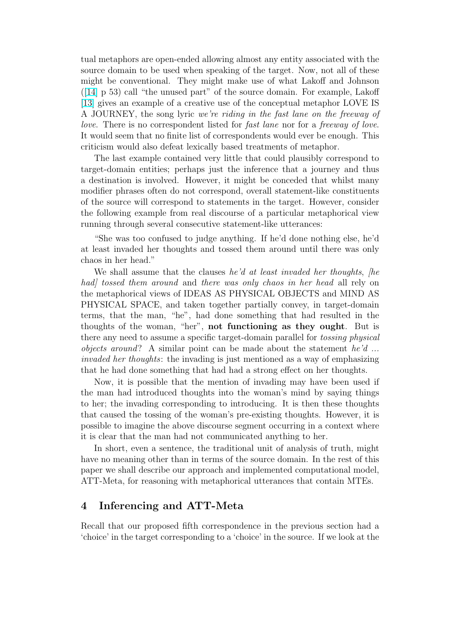tual metaphors are open-ended allowing almost any entity associated with the source domain to be used when speaking of the target. Now, not all of these might be conventional. They might make use of what Lakoff and Johnson  $([14] p 53)$  call "the unused part" of the source domain. For example, Lakoff [13] gives an example of a creative use of the conceptual metaphor LOVE IS A JOURNEY, the song lyric we're riding in the fast lane on the freeway of l[ove](#page-9-0). There is no correspondent listed for fast lane nor for a freeway of love. [It w](#page-9-0)ould seem that no finite list of correspondents would ever be enough. This criticism would also defeat lexically based treatments of metaphor.

The last example contained very little that could plausibly correspond to target-domain entities; perhaps just the inference that a journey and thus a destination is involved. However, it might be conceded that whilst many modifier phrases often do not correspond, overall statement-like constituents of the source will correspond to statements in the target. However, consider the following example from real discourse of a particular metaphorical view running through several consecutive statement-like utterances:

"She was too confused to judge anything. If he'd done nothing else, he'd at least invaded her thoughts and tossed them around until there was only chaos in her head."

We shall assume that the clauses he'd at least invaded her thoughts, [he had] tossed them around and there was only chaos in her head all rely on the metaphorical views of IDEAS AS PHYSICAL OBJECTS and MIND AS PHYSICAL SPACE, and taken together partially convey, in target-domain terms, that the man, "he", had done something that had resulted in the thoughts of the woman, "her", not functioning as they ought. But is there any need to assume a specific target-domain parallel for tossing physical *objects around*? A similar point can be made about the statement he'd ... invaded her thoughts: the invading is just mentioned as a way of emphasizing that he had done something that had had a strong effect on her thoughts.

Now, it is possible that the mention of invading may have been used if the man had introduced thoughts into the woman's mind by saying things to her; the invading corresponding to introducing. It is then these thoughts that caused the tossing of the woman's pre-existing thoughts. However, it is possible to imagine the above discourse segment occurring in a context where it is clear that the man had not communicated anything to her.

In short, even a sentence, the traditional unit of analysis of truth, might have no meaning other than in terms of the source domain. In the rest of this paper we shall describe our approach and implemented computational model, ATT-Meta, for reasoning with metaphorical utterances that contain MTEs.

### 4 Inferencing and ATT-Meta

Recall that our proposed fifth correspondence in the previous section had a 'choice' in the target corresponding to a 'choice' in the source. If we look at the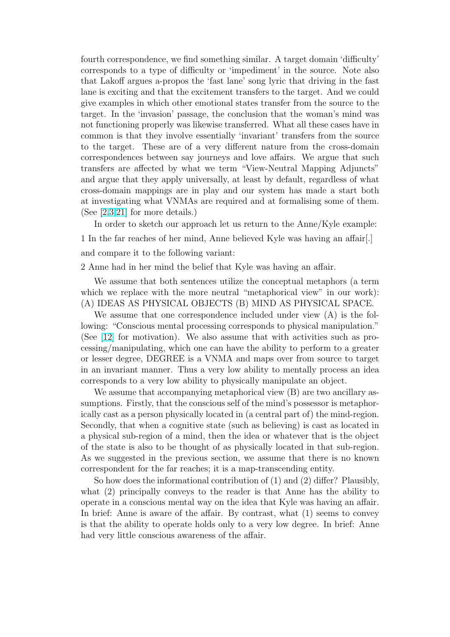fourth correspondence, we find something similar. A target domain 'difficulty' corresponds to a type of difficulty or 'impediment' in the source. Note also that Lakoff argues a-propos the 'fast lane' song lyric that driving in the fast lane is exciting and that the excitement transfers to the target. And we could give examples in which other emotional states transfer from the source to the target. In the 'invasion' passage, the conclusion that the woman's mind was not functioning properly was likewise transferred. What all these cases have in common is that they involve essentially 'invariant' transfers from the source to the target. These are of a very different nature from the cross-domain correspondences between say journeys and love affairs. We argue that such transfers are affected by what we term "View-Neutral Mapping Adjuncts" and argue that they apply universally, at least by default, regardless of what cross-domain mappings are in play and our system has made a start both at investigating what VNMAs are required and at formalising some of them. (See [2,3,21] for more details.)

In order to sketch our approach let us return to the Anne/Kyle example: 1 In the far reaches of her mind, Anne believed Kyle was having an affair[.] and [com](#page-8-0)[par](#page-9-0)e it to the following variant:

2 Anne had in her mind the belief that Kyle was having an affair.

We assume that both sentences utilize the conceptual metaphors (a term which we replace with the more neutral "metaphorical view" in our work): (A) IDEAS AS PHYSICAL OBJECTS (B) MIND AS PHYSICAL SPACE.

We assume that one correspondence included under view (A) is the following: "Conscious mental processing corresponds to physical manipulation." (See [12] for motivation). We also assume that with activities such as processing/manipulating, which one can have the ability to perform to a greater or lesser degree, DEGREE is a VNMA and maps over from source to target in an [inv](#page-9-0)ariant manner. Thus a very low ability to mentally process an idea corresponds to a very low ability to physically manipulate an object.

We assume that accompanying metaphorical view  $(B)$  are two ancillary assumptions. Firstly, that the conscious self of the mind's possessor is metaphorically cast as a person physically located in (a central part of) the mind-region. Secondly, that when a cognitive state (such as believing) is cast as located in a physical sub-region of a mind, then the idea or whatever that is the object of the state is also to be thought of as physically located in that sub-region. As we suggested in the previous section, we assume that there is no known correspondent for the far reaches; it is a map-transcending entity.

So how does the informational contribution of  $(1)$  and  $(2)$  differ? Plausibly, what (2) principally conveys to the reader is that Anne has the ability to operate in a conscious mental way on the idea that Kyle was having an affair. In brief: Anne is aware of the affair. By contrast, what (1) seems to convey is that the ability to operate holds only to a very low degree. In brief: Anne had very little conscious awareness of the affair.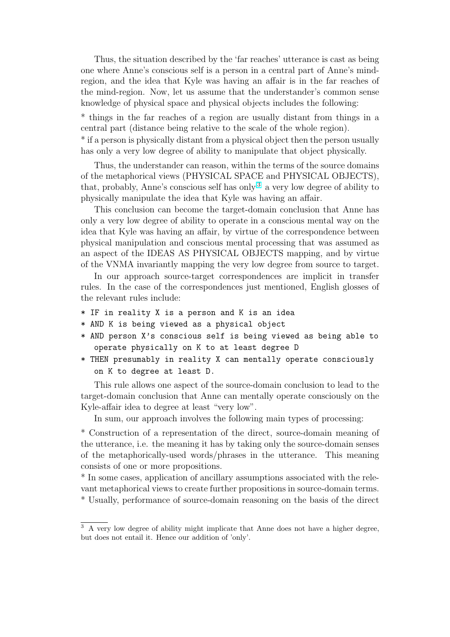Thus, the situation described by the 'far reaches' utterance is cast as being one where Anne's conscious self is a person in a central part of Anne's mindregion, and the idea that Kyle was having an affair is in the far reaches of the mind-region. Now, let us assume that the understander's common sense knowledge of physical space and physical objects includes the following:

\* things in the far reaches of a region are usually distant from things in a central part (distance being relative to the scale of the whole region). \* if a person is physically distant from a physical object then the person usually has only a very low degree of ability to manipulate that object physically.

Thus, the understander can reason, within the terms of the source domains of the metaphorical views (PHYSICAL SPACE and PHYSICAL OBJECTS), that, probably, Anne's conscious self has only  $3$  a very low degree of ability to physically manipulate the idea that Kyle was having an affair.

This conclusion can become the target-domain conclusion that Anne has only a very low degree of ability to operate in a conscious mental way on the idea that Kyle was having an affair, by virtue of the correspondence between physical manipulation and conscious mental processing that was assumed as an aspect of the IDEAS AS PHYSICAL OBJECTS mapping, and by virtue of the VNMA invariantly mapping the very low degree from source to target.

In our approach source-target correspondences are implicit in transfer rules. In the case of the correspondences just mentioned, English glosses of the relevant rules include:

- \* IF in reality X is a person and K is an idea
- \* AND K is being viewed as a physical object
- \* AND person X's conscious self is being viewed as being able to operate physically on K to at least degree D
- \* THEN presumably in reality X can mentally operate consciously on K to degree at least D.

This rule allows one aspect of the source-domain conclusion to lead to the target-domain conclusion that Anne can mentally operate consciously on the Kyle-affair idea to degree at least "very low".

In sum, our approach involves the following main types of processing:

\* Construction of a representation of the direct, source-domain meaning of the utterance, i.e. the meaning it has by taking only the source-domain senses of the metaphorically-used words/phrases in the utterance. This meaning consists of one or more propositions.

\* In some cases, application of ancillary assumptions associated with the relevant metaphorical views to create further propositions in source-domain terms. \* Usually, performance of source-domain reasoning on the basis of the direct

<sup>&</sup>lt;sup>3</sup> A very low degree of ability might implicate that Anne does not have a higher degree, but does not entail it. Hence our addition of 'only'.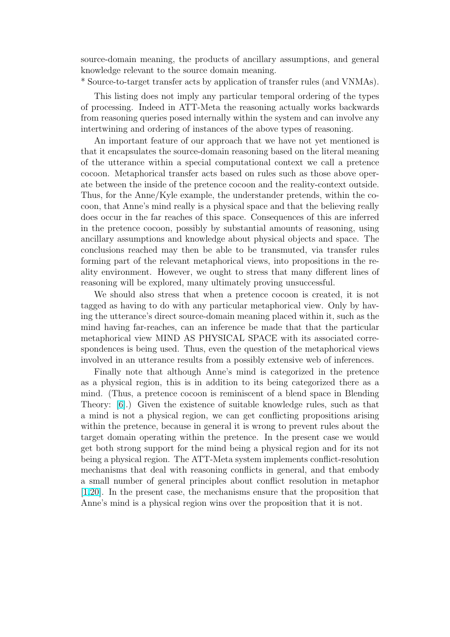source-domain meaning, the products of ancillary assumptions, and general knowledge relevant to the source domain meaning.

\* Source-to-target transfer acts by application of transfer rules (and VNMAs).

This listing does not imply any particular temporal ordering of the types of processing. Indeed in ATT-Meta the reasoning actually works backwards from reasoning queries posed internally within the system and can involve any intertwining and ordering of instances of the above types of reasoning.

An important feature of our approach that we have not yet mentioned is that it encapsulates the source-domain reasoning based on the literal meaning of the utterance within a special computational context we call a pretence cocoon. Metaphorical transfer acts based on rules such as those above operate between the inside of the pretence cocoon and the reality-context outside. Thus, for the Anne/Kyle example, the understander pretends, within the cocoon, that Anne's mind really is a physical space and that the believing really does occur in the far reaches of this space. Consequences of this are inferred in the pretence cocoon, possibly by substantial amounts of reasoning, using ancillary assumptions and knowledge about physical objects and space. The conclusions reached may then be able to be transmuted, via transfer rules forming part of the relevant metaphorical views, into propositions in the reality environment. However, we ought to stress that many different lines of reasoning will be explored, many ultimately proving unsuccessful.

We should also stress that when a pretence cocoon is created, it is not tagged as having to do with any particular metaphorical view. Only by having the utterance's direct source-domain meaning placed within it, such as the mind having far-reaches, can an inference be made that that the particular metaphorical view MIND AS PHYSICAL SPACE with its associated correspondences is being used. Thus, even the question of the metaphorical views involved in an utterance results from a possibly extensive web of inferences.

Finally note that although Anne's mind is categorized in the pretence as a physical region, this is in addition to its being categorized there as a mind. (Thus, a pretence cocoon is reminiscent of a blend space in Blending Theory: [6].) Given the existence of suitable knowledge rules, such as that a mind is not a physical region, we can get conflicting propositions arising within the pretence, because in general it is wrong to prevent rules about the target do[m](#page-9-0)ain operating within the pretence. In the present case we would get both strong support for the mind being a physical region and for its not being a physical region. The ATT-Meta system implements conflict-resolution mechanisms that deal with reasoning conflicts in general, and that embody a small number of general principles about conflict resolution in metaphor [1,20]. In the present case, the mechanisms ensure that the proposition that Anne's mind is a physical region wins over the proposition that it is not.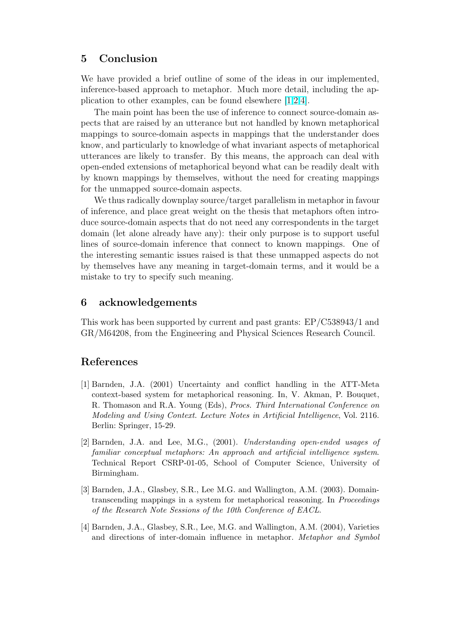## <span id="page-8-0"></span>5 Conclusion

We have provided a brief outline of some of the ideas in our implemented, inference-based approach to metaphor. Much more detail, including the application to other examples, can be found elsewhere [1,2,4].

The main point has been the use of inference to connect source-domain aspects that are raised by an utterance but not handled by known metaphorical mappings to source-domain aspects in mappings that the understander does know, and particularly to knowledge of what invariant aspects of metaphorical utterances are likely to transfer. By this means, the approach can deal with open-ended extensions of metaphorical beyond what can be readily dealt with by known mappings by themselves, without the need for creating mappings for the unmapped source-domain aspects.

We thus radically downplay source/target parallelism in metaphor in favour of inference, and place great weight on the thesis that metaphors often introduce source-domain aspects that do not need any correspondents in the target domain (let alone already have any): their only purpose is to support useful lines of source-domain inference that connect to known mappings. One of the interesting semantic issues raised is that these unmapped aspects do not by themselves have any meaning in target-domain terms, and it would be a mistake to try to specify such meaning.

### 6 acknowledgements

This work has been supported by current and past grants: EP/C538943/1 and GR/M64208, from the Engineering and Physical Sciences Research Council.

# References

- [1] Barnden, J.A. (2001) Uncertainty and conflict handling in the ATT-Meta context-based system for metaphorical reasoning. In, V. Akman, P. Bouquet, R. Thomason and R.A. Young (Eds), Procs. Third International Conference on Modeling and Using Context. Lecture Notes in Artificial Intelligence, Vol. 2116. Berlin: Springer, 15-29.
- [2] Barnden, J.A. and Lee, M.G., (2001). Understanding open-ended usages of familiar conceptual metaphors: An approach and artificial intelligence system. Technical Report CSRP-01-05, School of Computer Science, University of Birmingham.
- [3] Barnden, J.A., Glasbey, S.R., Lee M.G. and Wallington, A.M. (2003). Domaintranscending mappings in a system for metaphorical reasoning. In Proceedings of the Research Note Sessions of the 10th Conference of EACL.
- [4] Barnden, J.A., Glasbey, S.R., Lee, M.G. and Wallington, A.M. (2004), Varieties and directions of inter-domain influence in metaphor. Metaphor and Symbol